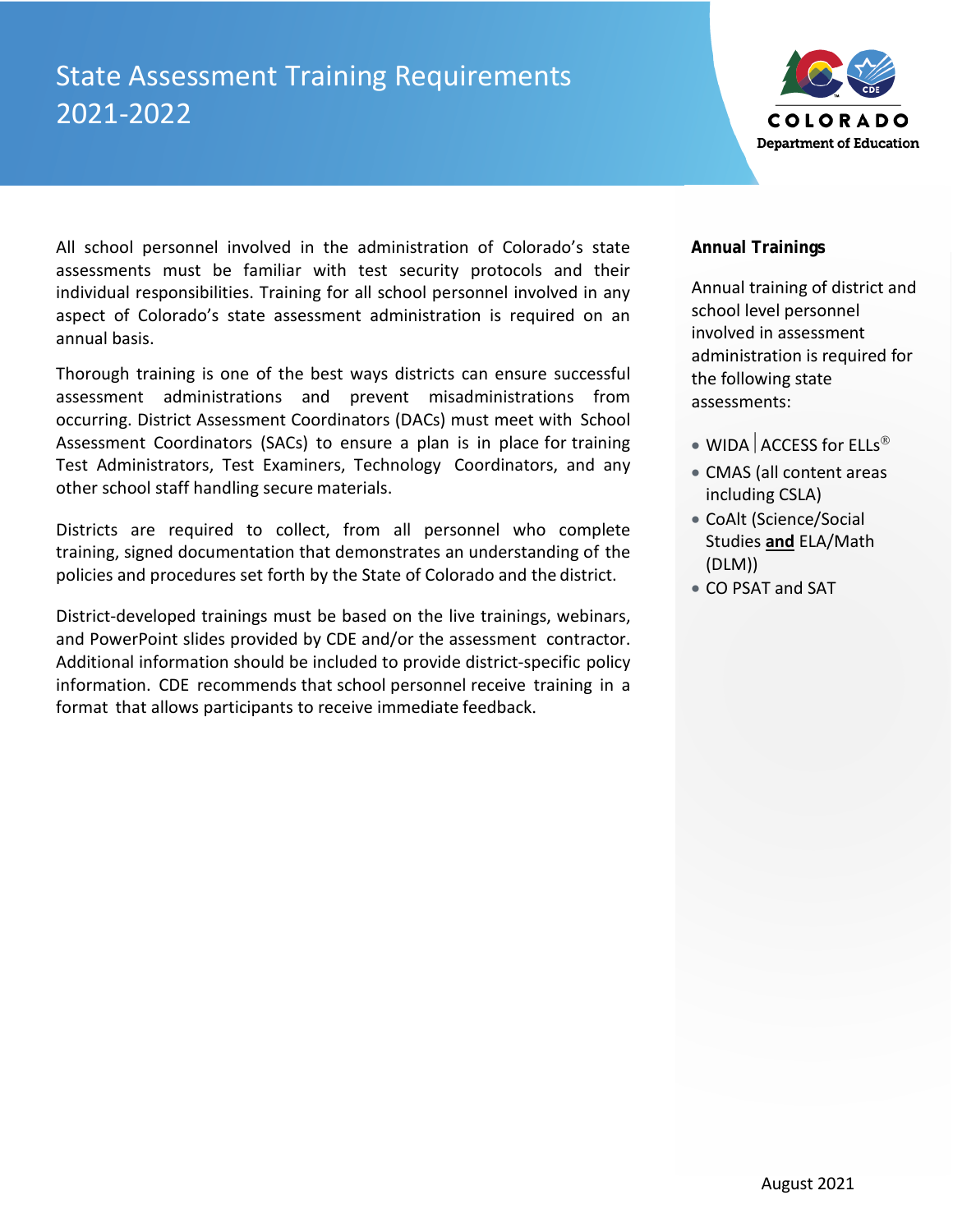## State Assessment Training Requirements 2021-2022



All school personnel involved in the administration of Colorado's state assessments must be familiar with test security protocols and their individual responsibilities. Training for all school personnel involved in any aspect of Colorado's state assessment administration is required on an annual basis.

Thorough training is one of the best ways districts can ensure successful assessment administrations and prevent misadministrations from occurring. District Assessment Coordinators (DACs) must meet with School Assessment Coordinators (SACs) to ensure a plan is in place for training Test Administrators, Test Examiners, Technology Coordinators, and any other school staff handling secure materials.

Districts are required to collect, from all personnel who complete training, signed documentation that demonstrates an understanding of the policies and procedures set forth by the State of Colorado and the district.

District-developed trainings must be based on the live trainings, webinars, and PowerPoint slides provided by CDE and/or the assessment contractor. Additional information should be included to provide district-specific policy information. CDE recommends that school personnel receive training in a format that allows participants to receive immediate feedback.

### **Annual Trainings**

Annual training of district and school level personnel involved in assessment administration is required for the following state assessments:

- WIDA  $ACCESS$  for ELLs<sup>®</sup>
- CMAS (all content areas including CSLA)
- CoAlt (Science/Social Studies **and** ELA/Math (DLM))
- CO PSAT and SAT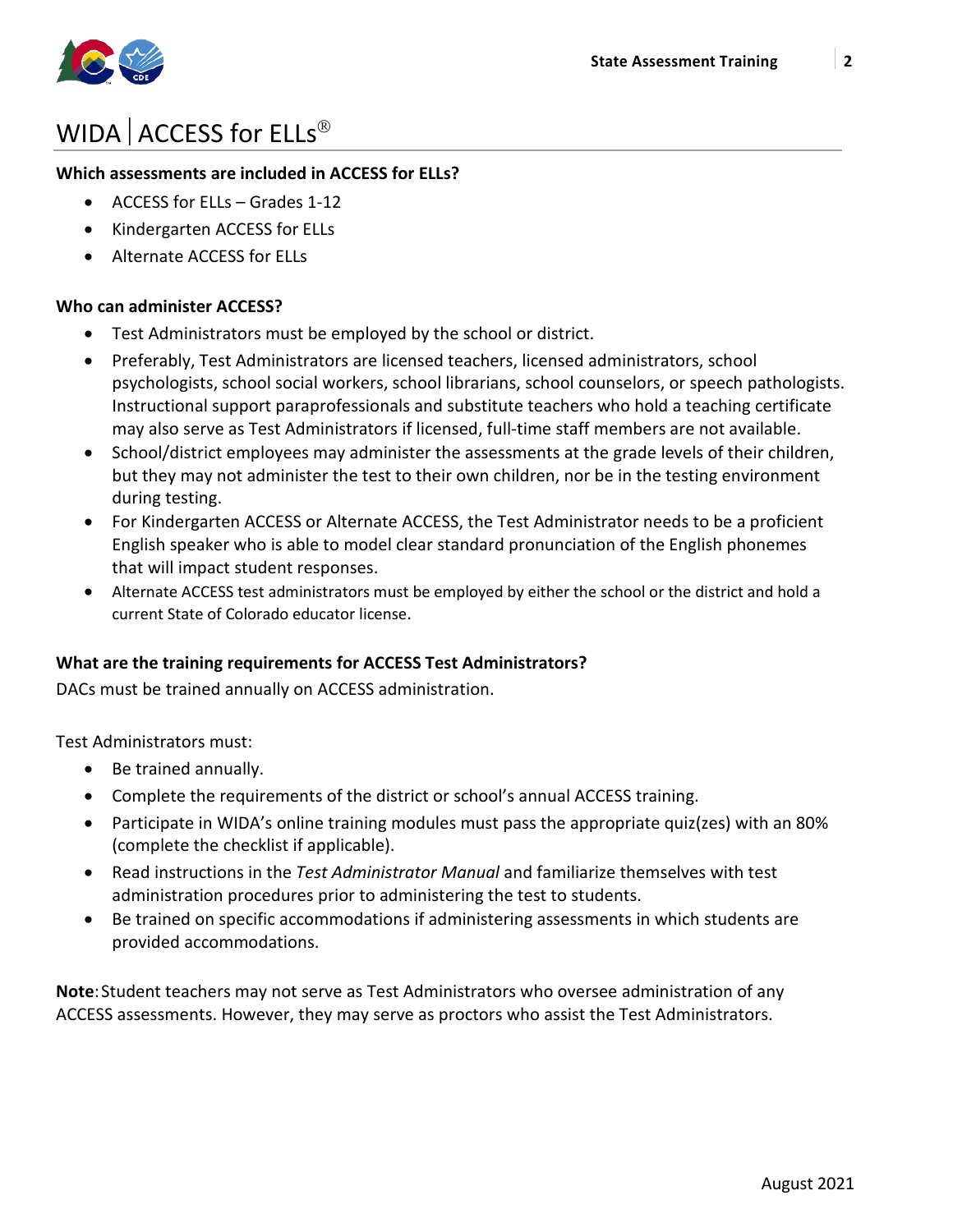

# WIDA  $ACCESS$  for  $ELLs^{\circledR}$

### **Which assessments are included in ACCESS for ELLs?**

- ACCESS for ELLs Grades 1-12
- Kindergarten ACCESS for ELLs
- Alternate ACCESS for ELLs

### **Who can administer ACCESS?**

- Test Administrators must be employed by the school or district.
- Preferably, Test Administrators are licensed teachers, licensed administrators, school psychologists, school social workers, school librarians, school counselors, or speech pathologists. Instructional support paraprofessionals and substitute teachers who hold a teaching certificate may also serve as Test Administrators if licensed, full-time staff members are not available.
- School/district employees may administer the assessments at the grade levels of their children, but they may not administer the test to their own children, nor be in the testing environment during testing.
- For Kindergarten ACCESS or Alternate ACCESS, the Test Administrator needs to be a proficient English speaker who is able to model clear standard pronunciation of the English phonemes that will impact student responses.
- Alternate ACCESS test administrators must be employed by either the school or the district and hold a current State of Colorado educator license.

### **What are the training requirements for ACCESS Test Administrators?**

DACs must be trained annually on ACCESS administration.

Test Administrators must:

- Be trained annually.
- Complete the requirements of the district or school's annual ACCESS training.
- Participate in WIDA's online training modules must pass the appropriate quiz(zes) with an 80% (complete the checklist if applicable).
- Read instructions in the *Test Administrator Manual* and familiarize themselves with test administration procedures prior to administering the test to students.
- Be trained on specific accommodations if administering assessments in which students are provided accommodations.

**Note**:Student teachers may not serve as Test Administrators who oversee administration of any ACCESS assessments. However, they may serve as proctors who assist the Test Administrators.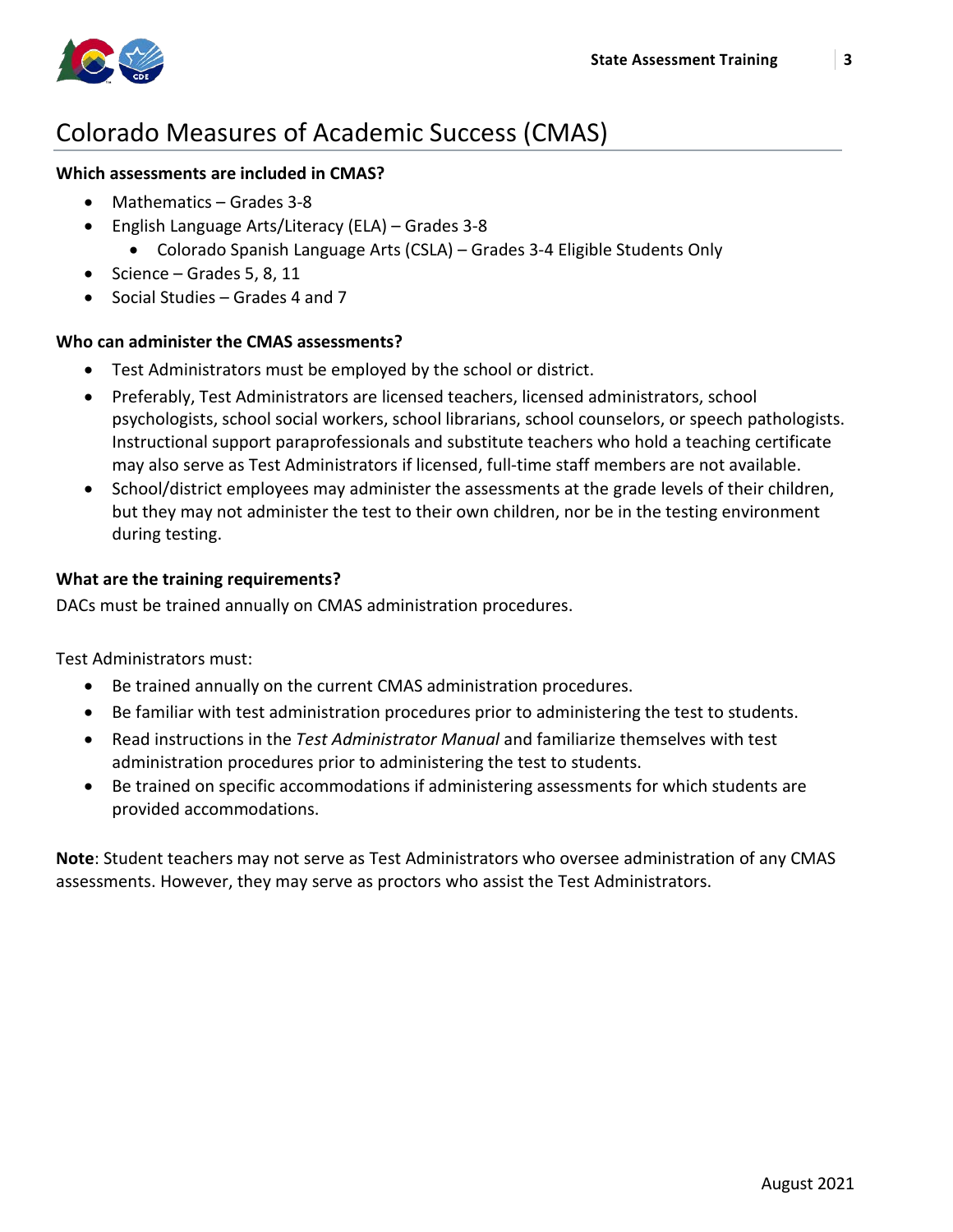

### Colorado Measures of Academic Success (CMAS)

### **Which assessments are included in CMAS?**

- Mathematics Grades 3-8
- English Language Arts/Literacy (ELA) Grades 3-8
	- Colorado Spanish Language Arts (CSLA) Grades 3-4 Eligible Students Only
- Science Grades 5, 8, 11
- Social Studies Grades 4 and 7

### **Who can administer the CMAS assessments?**

- Test Administrators must be employed by the school or district.
- Preferably, Test Administrators are licensed teachers, licensed administrators, school psychologists, school social workers, school librarians, school counselors, or speech pathologists. Instructional support paraprofessionals and substitute teachers who hold a teaching certificate may also serve as Test Administrators if licensed, full-time staff members are not available.
- School/district employees may administer the assessments at the grade levels of their children, but they may not administer the test to their own children, nor be in the testing environment during testing.

### **What are the training requirements?**

DACs must be trained annually on CMAS administration procedures.

Test Administrators must:

- Be trained annually on the current CMAS administration procedures.
- Be familiar with test administration procedures prior to administering the test to students.
- Read instructions in the *Test Administrator Manual* and familiarize themselves with test administration procedures prior to administering the test to students.
- Be trained on specific accommodations if administering assessments for which students are provided accommodations.

**Note**: Student teachers may not serve as Test Administrators who oversee administration of any CMAS assessments. However, they may serve as proctors who assist the Test Administrators.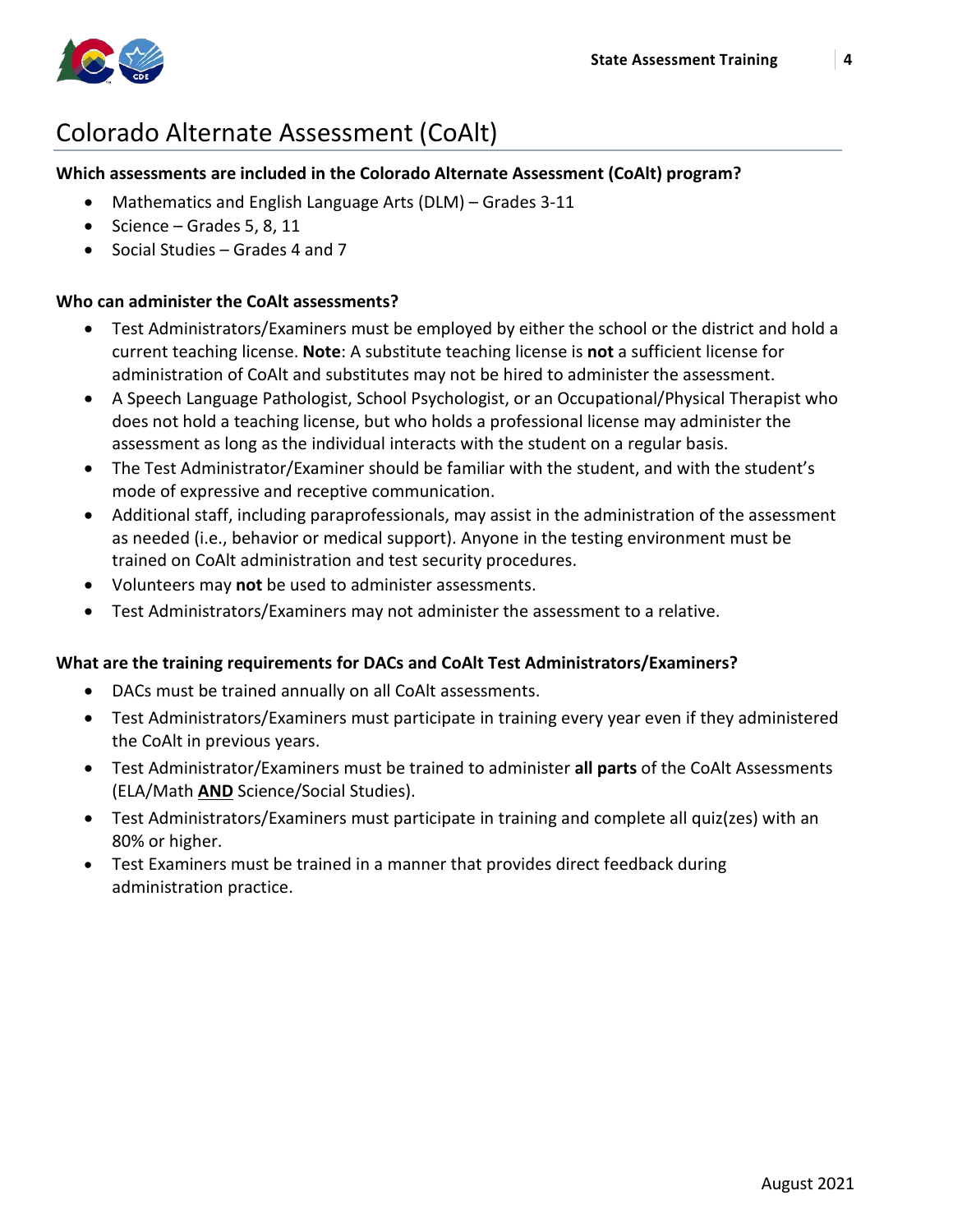

## Colorado Alternate Assessment (CoAlt)

### **Which assessments are included in the Colorado Alternate Assessment (CoAlt) program?**

- Mathematics and English Language Arts (DLM) Grades 3-11
- Science Grades 5, 8, 11
- Social Studies Grades 4 and 7

### **Who can administer the CoAlt assessments?**

- Test Administrators/Examiners must be employed by either the school or the district and hold a current teaching license. **Note**: A substitute teaching license is **not** a sufficient license for administration of CoAlt and substitutes may not be hired to administer the assessment.
- A Speech Language Pathologist, School Psychologist, or an Occupational/Physical Therapist who does not hold a teaching license, but who holds a professional license may administer the assessment as long as the individual interacts with the student on a regular basis.
- The Test Administrator/Examiner should be familiar with the student, and with the student's mode of expressive and receptive communication.
- Additional staff, including paraprofessionals, may assist in the administration of the assessment as needed (i.e., behavior or medical support). Anyone in the testing environment must be trained on CoAlt administration and test security procedures.
- Volunteers may **not** be used to administer assessments.
- Test Administrators/Examiners may not administer the assessment to a relative.

#### **What are the training requirements for DACs and CoAlt Test Administrators/Examiners?**

- DACs must be trained annually on all CoAlt assessments.
- Test Administrators/Examiners must participate in training every year even if they administered the CoAlt in previous years.
- Test Administrator/Examiners must be trained to administer **all parts** of the CoAlt Assessments (ELA/Math **AND** Science/Social Studies).
- Test Administrators/Examiners must participate in training and complete all quiz(zes) with an 80% or higher.
- Test Examiners must be trained in a manner that provides direct feedback during administration practice.